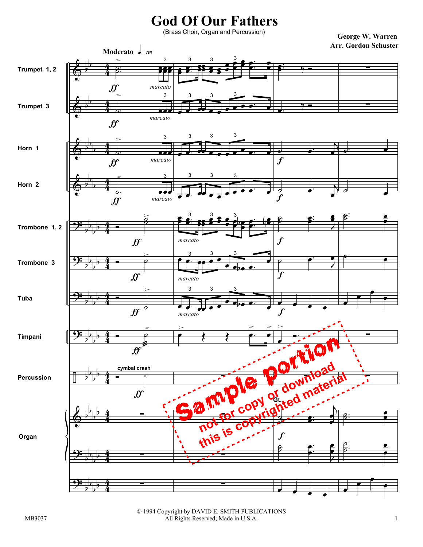## **God Of Our Fathers**

(Brass Choir, Organ and Percussion) **George W. Warren**

**Arr. Gordon Schuster**

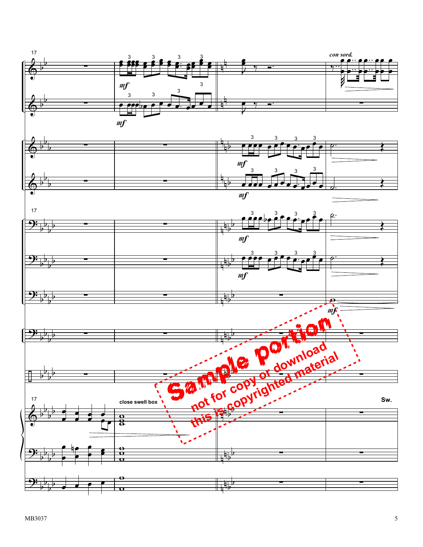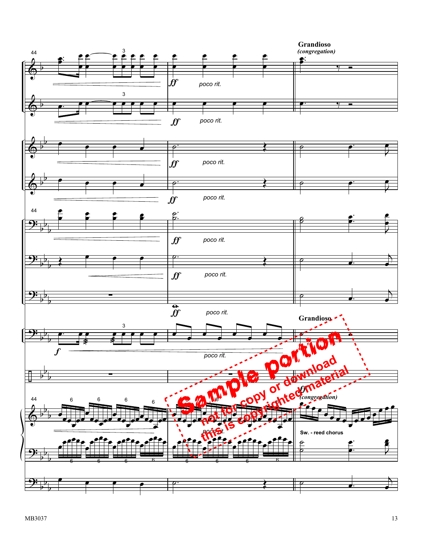